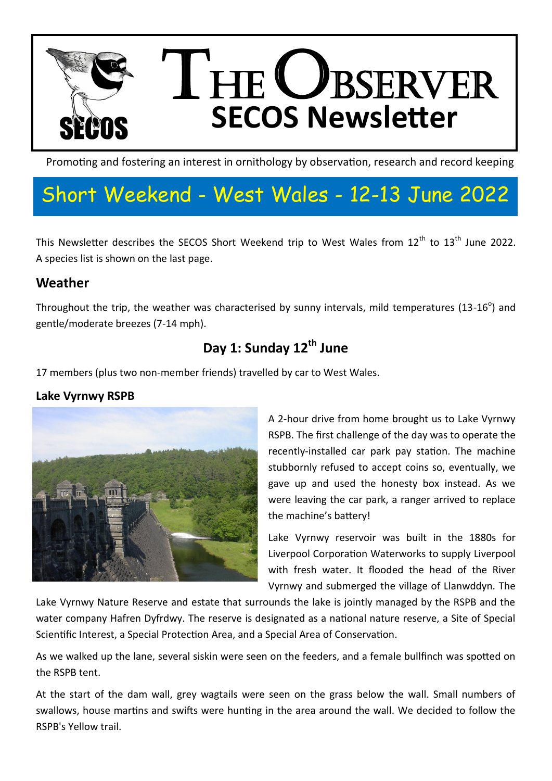

Promoting and fostering an interest in ornithology by observation, research and record keeping

# Short Weekend - West Wales - 12-13 June 2022

This Newsletter describes the SECOS Short Weekend trip to West Wales from 12<sup>th</sup> to 13<sup>th</sup> June 2022. A species list is shown on the last page.

## **Weather**

Throughout the trip, the weather was characterised by sunny intervals, mild temperatures (13-16<sup>o</sup>) and gentle/moderate breezes (7-14 mph).

# **Day 1: Sunday 12th June**

17 members (plus two non-member friends) travelled by car to West Wales.

### **Lake Vyrnwy RSPB**



A 2-hour drive from home brought us to Lake Vyrnwy RSPB. The first challenge of the day was to operate the recently-installed car park pay station. The machine stubbornly refused to accept coins so, eventually, we gave up and used the honesty box instead. As we were leaving the car park, a ranger arrived to replace the machine's battery!

Lake Vyrnwy reservoir was built in the 1880s for Liverpool Corporation Waterworks to supply Liverpool with fresh water. It flooded the head of the River Vyrnwy and submerged the village of Llanwddyn. The

Lake Vyrnwy Nature Reserve and estate that surrounds the lake is jointly managed by the RSPB and the water company Hafren Dyfrdwy. The reserve is designated as a national nature reserve, a Site of Special Scientific Interest, a Special Protection Area, and a Special Area of Conservation.

As we walked up the lane, several siskin were seen on the feeders, and a female bullfinch was spotted on the RSPB tent.

At the start of the dam wall, grey wagtails were seen on the grass below the wall. Small numbers of swallows, house martins and swifts were hunting in the area around the wall. We decided to follow the RSPB's Yellow trail.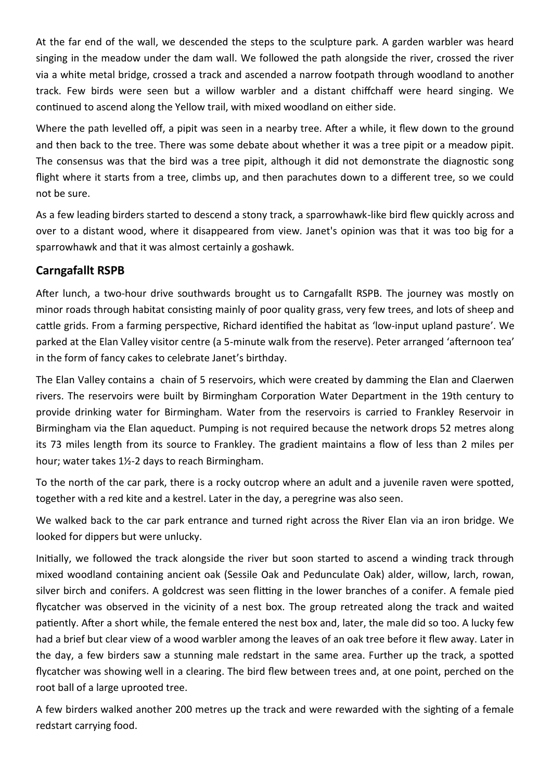At the far end of the wall, we descended the steps to the sculpture park. A garden warbler was heard singing in the meadow under the dam wall. We followed the path alongside the river, crossed the river via a white metal bridge, crossed a track and ascended a narrow footpath through woodland to another track. Few birds were seen but a willow warbler and a distant chiffchaff were heard singing. We continued to ascend along the Yellow trail, with mixed woodland on either side.

Where the path levelled off, a pipit was seen in a nearby tree. After a while, it flew down to the ground and then back to the tree. There was some debate about whether it was a tree pipit or a meadow pipit. The consensus was that the bird was a tree pipit, although it did not demonstrate the diagnostic song flight where it starts from a tree, climbs up, and then parachutes down to a different tree, so we could not be sure.

As a few leading birders started to descend a stony track, a sparrowhawk-like bird flew quickly across and over to a distant wood, where it disappeared from view. Janet's opinion was that it was too big for a sparrowhawk and that it was almost certainly a goshawk.

### **Carngafallt RSPB**

After lunch, a two-hour drive southwards brought us to Carngafallt RSPB. The journey was mostly on minor roads through habitat consisting mainly of poor quality grass, very few trees, and lots of sheep and cattle grids. From a farming perspective, Richard identified the habitat as 'low-input upland pasture'. We parked at the Elan Valley visitor centre (a 5-minute walk from the reserve). Peter arranged 'afternoon tea' in the form of fancy cakes to celebrate Janet's birthday.

The Elan Valley contains a chain of 5 reservoirs, which were created by damming the Elan and Claerwen rivers. The reservoirs were built by Birmingham Corporation Water Department in the 19th century to provide drinking water for Birmingham. Water from the reservoirs is carried to Frankley Reservoir in Birmingham via the Elan aqueduct. Pumping is not required because the network drops 52 metres along its 73 miles length from its source to Frankley. The gradient maintains a flow of less than 2 miles per hour; water takes 1½-2 days to reach Birmingham.

To the north of the car park, there is a rocky outcrop where an adult and a juvenile raven were spotted, together with a red kite and a kestrel. Later in the day, a peregrine was also seen.

We walked back to the car park entrance and turned right across the River Elan via an iron bridge. We looked for dippers but were unlucky.

Initially, we followed the track alongside the river but soon started to ascend a winding track through mixed woodland containing ancient oak (Sessile Oak and Pedunculate Oak) alder, willow, larch, rowan, silver birch and conifers. A goldcrest was seen flitting in the lower branches of a conifer. A female pied flycatcher was observed in the vicinity of a nest box. The group retreated along the track and waited patiently. After a short while, the female entered the nest box and, later, the male did so too. A lucky few had a brief but clear view of a wood warbler among the leaves of an oak tree before it flew away. Later in the day, a few birders saw a stunning male redstart in the same area. Further up the track, a spotted flycatcher was showing well in a clearing. The bird flew between trees and, at one point, perched on the root ball of a large uprooted tree.

A few birders walked another 200 metres up the track and were rewarded with the sighting of a female redstart carrying food.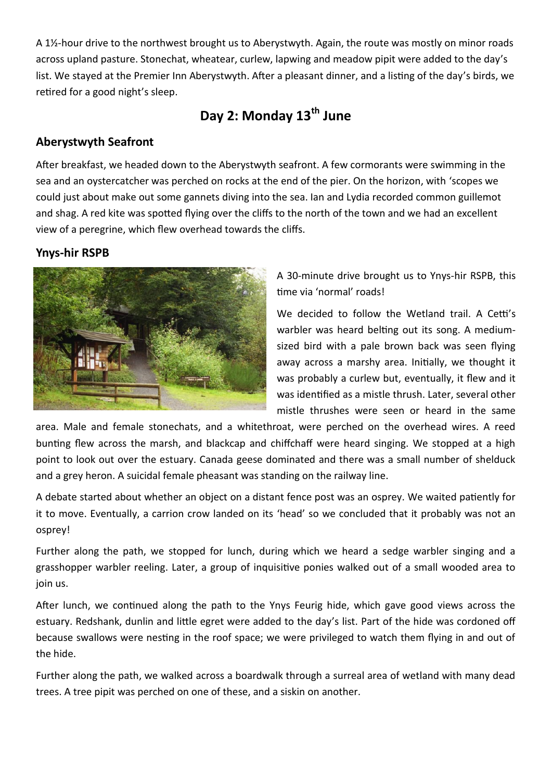A 1½-hour drive to the northwest brought us to Aberystwyth. Again, the route was mostly on minor roads across upland pasture. Stonechat, wheatear, curlew, lapwing and meadow pipit were added to the day's list. We stayed at the Premier Inn Aberystwyth. After a pleasant dinner, and a listing of the day's birds, we retired for a good night's sleep.

# **Day 2: Monday 13th June**

#### **Aberystwyth Seafront**

After breakfast, we headed down to the Aberystwyth seafront. A few cormorants were swimming in the sea and an oystercatcher was perched on rocks at the end of the pier. On the horizon, with 'scopes we could just about make out some gannets diving into the sea. Ian and Lydia recorded common guillemot and shag. A red kite was spotted flying over the cliffs to the north of the town and we had an excellent view of a peregrine, which flew overhead towards the cliffs.

#### **Ynys-hir RSPB**



A 30-minute drive brought us to Ynys-hir RSPB, this time via 'normal' roads!

We decided to follow the Wetland trail. A Cetti's warbler was heard belting out its song. A mediumsized bird with a pale brown back was seen flying away across a marshy area. Initially, we thought it was probably a curlew but, eventually, it flew and it was identified as a mistle thrush. Later, several other mistle thrushes were seen or heard in the same

area. Male and female stonechats, and a whitethroat, were perched on the overhead wires. A reed bunting flew across the marsh, and blackcap and chiffchaff were heard singing. We stopped at a high point to look out over the estuary. Canada geese dominated and there was a small number of shelduck and a grey heron. A suicidal female pheasant was standing on the railway line.

A debate started about whether an object on a distant fence post was an osprey. We waited patiently for it to move. Eventually, a carrion crow landed on its 'head' so we concluded that it probably was not an osprey!

Further along the path, we stopped for lunch, during which we heard a sedge warbler singing and a grasshopper warbler reeling. Later, a group of inquisitive ponies walked out of a small wooded area to join us.

After lunch, we continued along the path to the Ynys Feurig hide, which gave good views across the estuary. Redshank, dunlin and little egret were added to the day's list. Part of the hide was cordoned off because swallows were nesting in the roof space; we were privileged to watch them flying in and out of the hide.

Further along the path, we walked across a boardwalk through a surreal area of wetland with many dead trees. A tree pipit was perched on one of these, and a siskin on another.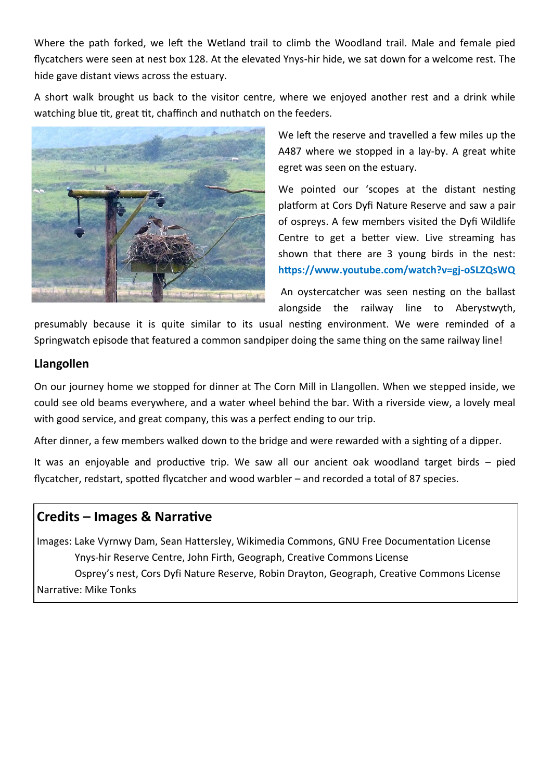Where the path forked, we left the Wetland trail to climb the Woodland trail. Male and female pied flycatchers were seen at nest box 128. At the elevated Ynys-hir hide, we sat down for a welcome rest. The hide gave distant views across the estuary.

A short walk brought us back to the visitor centre, where we enjoyed another rest and a drink while watching blue tit, great tit, chaffinch and nuthatch on the feeders.



We left the reserve and travelled a few miles up the A487 where we stopped in a lay-by. A great white egret was seen on the estuary.

We pointed our 'scopes at the distant nesting platform at Cors Dyfi Nature Reserve and saw a pair of ospreys. A few members visited the Dyfi Wildlife Centre to get a better view. Live streaming has shown that there are 3 young birds in the nest: **https://www.youtube.com/watch?v=gj-oSLZQsWQ**

An oystercatcher was seen nesting on the ballast alongside the railway line to Aberystwyth,

presumably because it is quite similar to its usual nesting environment. We were reminded of a Springwatch episode that featured a common sandpiper doing the same thing on the same railway line!

#### **Llangollen**

On our journey home we stopped for dinner at The Corn Mill in Llangollen. When we stepped inside, we could see old beams everywhere, and a water wheel behind the bar. With a riverside view, a lovely meal with good service, and great company, this was a perfect ending to our trip.

After dinner, a few members walked down to the bridge and were rewarded with a sighting of a dipper.

It was an enjoyable and productive trip. We saw all our ancient oak woodland target birds – pied flycatcher, redstart, spotted flycatcher and wood warbler – and recorded a total of 87 species.

## **Credits – Images & Narrative**

Images: Lake Vyrnwy Dam, Sean Hattersley, Wikimedia Commons, GNU Free Documentation License Ynys-hir Reserve Centre, John Firth, Geograph, Creative Commons License Osprey's nest, Cors Dyfi Nature Reserve, Robin Drayton, Geograph, Creative Commons License Narrative: Mike Tonks